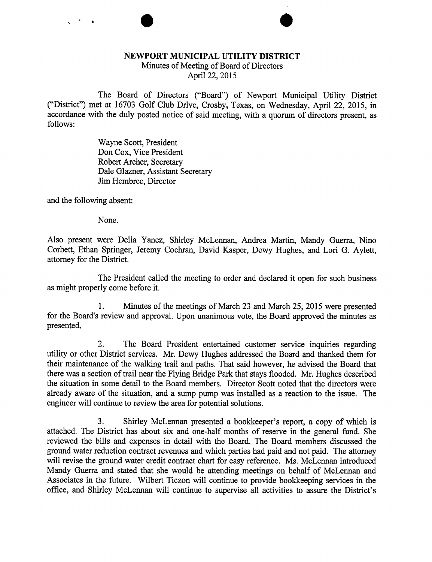## NEWPORT MUNICIPAL UTILITY DISTRICT

 $\bullet$ 

Minutes of Meeting of Board of Directors

April 22, 2015

The Board of Directors ("Board") of Newport Municipal Utility District ("District") met at 16703 Golf Club Drive, Crosby, Texas, on Wednesday, April 22, 2015, in accordance with the duly posted notice of said meeting, with a quorum of directors present, as follows:

> Wayne Scott, President Don Cox, Vice President Robert Archer, Secretary Dale Glazner, Assistant Secretary Jim Hembree, Director

and the following absent:

None.

Also present were Delia Yanez, Shirley McLennan, Andrea Martin, Mandy Guerra, Nino Corbett, Ethan Springer, Jeremy Cochran, David Kasper, Dewy Hughes, and Lori G. Aylett, attorney for the District.

The President called the meeting to order and declared it open for such business as might properly come before it.

1. Minutes of the meetings of March 23 and March 25, 2015 were presented for the Board's review and approval. Upon unanimous vote, the Board approved the minutes as presented.

2. The Board President entertained customer service inquiries regarding utility or other District services. Mr. Dewy Hughes addressed the Board and thanked them for their maintenance of the walking trail and paths. That said however, he advised the Board that there was a section of trail near the Flying Bridge Park that stays flooded. Mr. Hughes described the situation in some detail to the Board members. Director Scott noted that the directors were already aware of the situation, and a sump pump was installed as a reaction to the issue. The engineer will continue to review the area for potential solutions.

3. Shirley McLennan presented a bookkeeper's report, a copy of which is attached. The District has about six and one-half months of reserve in the general fund. She reviewed the bills and expenses in detail with the Board. The Board members discussed the ground water reduction contract revenues and which parties had paid and not paid. The attorney will revise the ground water credit contract chart for easy reference. Ms. McLennan introduced Mandy Guerra and stated that she would be attending meetings on behalf of McLerman and Associates in the future. Wilbert Ticzon will continue to provide bookkeeping services in the office, and Shirley McLennan will continue to supervise all activities to assure the District's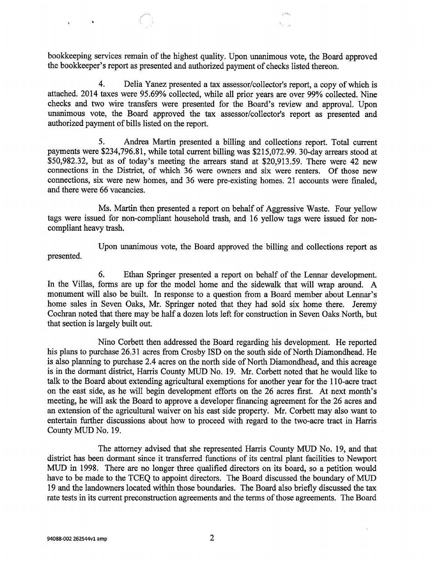bookkeeping services remain of the highest quality. Upon unanimous vote, the Board approved the bookkeeper's report as presented and authorized payment of checks listed thereon.

4. Delia Yanez presented a tax assessor/collector's report, a copy of which is attached. 2014 taxes were 95.69% collected, while all prior years are over 99% collected. Nine checks and two wire transfers were presented for the Board's review and approval. Upon unanimous vote, the Board approved the tax assessor/collector's report as presented and authorized payment of bills listed on the report.

5. Andrea Martin presented a billing and collections report. Total current payments were \$234,796.81, while total current billing was \$215,072.99. 30-day arrears stood at \$50,982.32, but as of today's meeting the arrears stand at \$20,913.59. There were 42 new connections in the District, of which 36 were owners and six were renters. Of those new connections, six were new homes, and 36 were pre-existing homes. 21 accounts were finaled, and there were 66 vacancies.

Ms. Martin then presented a report on behalf of Aggressive Waste. Four yellow tags were issued for non-compliant household trash, and 16 yellow tags were issued for noncompliant heavy trash.

Upon unanimous vote, the Board approved the billing and collections report as presented.

6. Ethan Springer presented a report on behalf of the Lennar development. In the Villas, forms are up for the model home and the sidewalk that will wrap around. A monument will also be built. In response to a question from a Board member about Lennar's home sales in Seven Oaks, Mr. Springer noted that they had sold six home there. Jeremy Cochran noted that there may be half a dozen lots left for construction in Seven Oaks North, but that section is largely built out.

Nino Corbett then addressed the Board regarding his development. He reported his plans to purchase 26.31 acres from Crosby ISD on the south side of North Diamondhead. He is also planning to purchase 2.4 acres on the north side of North Diamondhead, and this acreage is in the dormant district, Harris County MUD No. 19. Mr. Corbett noted that he would like to talk to the Board about extending agricultural exemptions for another year for the 110-acre tract on the east side, as he will begin development efforts on the 26 acres first. At next month's meeting, he will ask the Board to approve a developer financing agreement for the 26 acres and an extension of the agricultural waiver on his east side property. Mr. Corbett may also want to entertain further discussions about how to proceed with regard to the two-acre tract in Harris County MUD No. 19.

The attorney advised that she represented Harris County MUD No. 19, and that district has been dormant since it transferred functions of its central plant facilities to Newport MUD in 1998. There are no longer three qualified directors on its board, so a petition would have to be made to the TCEQ to appoint directors. The Board discussed the boundary of MUD 19 and the landowners located within those boundaries. The Board also briefly discussed the tax rate tests in its current preconstruction agreements and the terms of those agreements. The Board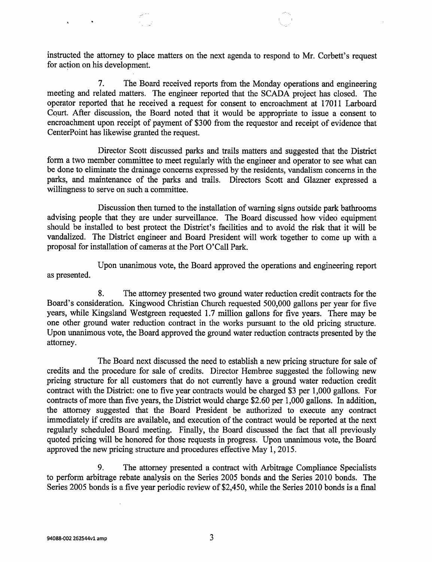instructed the attorney to place matters on the next agenda to respond to Mr. Corbett's request for action on his development.

7. The Board received reports from the Monday operations and engineering meeting and related matters. The engineer reported that the SCADA project has closed. The operator reported that he received a request for consent to encroachment at 17011 Larboard Court. After discussion, the Board noted that it would be appropriate to issue a consent to encroachment upon receipt of payment of \$300 from the requestor and receipt of evidence that CenterPoint has likewise granted the request.

Director Scott discussed parks and trails matters and suggested that the District form a two member committee to meet regularly with the engineer and operator to see what can be done to eliminate the drainage concerns expressed by the residents, vandalism concerns in the parks, and maintenance of the parks and trails. Directors Scott and Glazner expressed a willingness to serve on such a committee.

Discussion then turned to the installation of warning signs outside park bathrooms advising people that they are under surveillance. The Board discussed how video equipment should be installed to best protect the District's facilities and to avoid the risk that it will be vandalized. The District engineer and Board President will work together to come up with a proposal for installation of cameras at the Port O'Call Park.

Upon unanimous vote, the Board approved the operations and engineering report as presented.

8. The attorney presented two ground water reduction credit contracts for the Board's consideration. Kingwood Christian Church requested 500,000 gallons per year for five years, while Kingsland Westgreen requested 1.7 million gallons for five years. There may be one other ground water reduction contract in the works pursuant to the old pricing structure. Upon unanimous vote, the Board approved the ground water reduction contracts presented by the attorney.

The Board next discussed the need to establish a new pricing structure for sale of credits and the procedure for sale of credits. Director Hembree suggested the following new pricing structure for all customers that do not currently have a ground water reduction credit contract with the District: one to five year contracts would be charged \$3 per 1,000 gallons. For contracts of more than five years, the District would charge \$2.60 per 1,000 gallons. In addition, the attorney suggested that the Board President be authorized to execute any contract immediately if credits are available, and execution of the contract would be reported at the next regularly scheduled Board meeting. Finally, the Board discussed the fact that all previously quoted pricing will be honored for those requests in progress. Upon unanimous vote, the Board approved the new pricing structure and procedures effective May 1, 2015.

9. The attorney presented a contract with Arbitrage Compliance Specialists to perform arbitrage rebate analysis on the Series 2005 bonds and the Series 2010 bonds. The Series 2005 bonds is a five year periodic review of \$2,450, while the Series 2010 bonds is a final